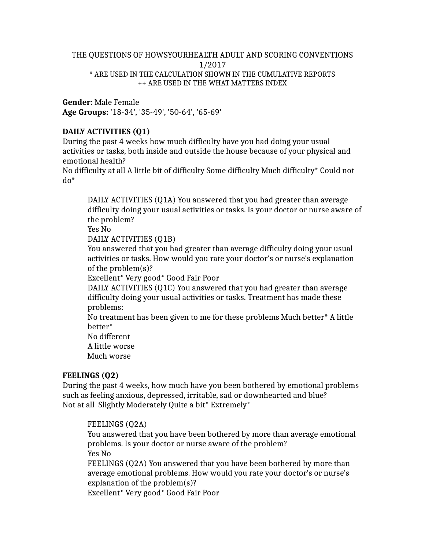### THE QUESTIONS OF HOWSYOURHEALTH ADULT AND SCORING CONVENTIONS 1/2017 \* ARE USED IN THE CALCULATION SHOWN IN THE CUMULATIVE REPORTS ++ ARE USED IN THE WHAT MATTERS INDEX

**Gender:** Male Female **Age Groups:** '18-34', '35-49', '50-64', '65-69'

# **DAILY ACTIVITIES (Q1)**

During the past 4 weeks how much difficulty have you had doing your usual activities or tasks, both inside and outside the house because of your physical and emotional health?

No difficulty at all A little bit of difficulty Some difficulty Much difficulty\* Could not do\*

DAILY ACTIVITIES (Q1A) You answered that you had greater than average difficulty doing your usual activities or tasks. Is your doctor or nurse aware of the problem?

Yes No

DAILY ACTIVITIES (Q1B)

You answered that you had greater than average difficulty doing your usual activities or tasks. How would you rate your doctor's or nurse's explanation of the problem(s)?

Excellent\* Very good\* Good Fair Poor

DAILY ACTIVITIES (Q1C) You answered that you had greater than average difficulty doing your usual activities or tasks. Treatment has made these problems:

No treatment has been given to me for these problems Much better\* A little better\*

No different A little worse

Much worse

# **FEELINGS (Q2)**

During the past 4 weeks, how much have you been bothered by emotional problems such as feeling anxious, depressed, irritable, sad or downhearted and blue? Not at all Slightly Moderately Quite a bit\* Extremely\*

# FEELINGS (Q2A)

You answered that you have been bothered by more than average emotional problems. Is your doctor or nurse aware of the problem? Yes No

FEELINGS (Q2A) You answered that you have been bothered by more than average emotional problems. How would you rate your doctor's or nurse's explanation of the problem(s)?

Excellent\* Very good\* Good Fair Poor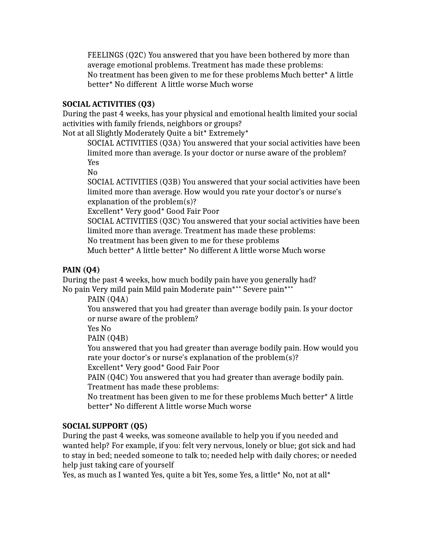FEELINGS (Q2C) You answered that you have been bothered by more than average emotional problems. Treatment has made these problems: No treatment has been given to me for these problems Much better\* A little better\* No different A little worse Much worse

### **SOCIAL ACTIVITIES (Q3)**

During the past 4 weeks, has your physical and emotional health limited your social activities with family friends, neighbors or groups?

Not at all Slightly Moderately Quite a bit\* Extremely\*

SOCIAL ACTIVITIES (Q3A) You answered that your social activities have been limited more than average. Is your doctor or nurse aware of the problem? Yes

No

SOCIAL ACTIVITIES (Q3B) You answered that your social activities have been limited more than average. How would you rate your doctor's or nurse's explanation of the problem(s)?

Excellent\* Very good\* Good Fair Poor

SOCIAL ACTIVITIES (Q3C) You answered that your social activities have been limited more than average. Treatment has made these problems:

No treatment has been given to me for these problems

Much better\* A little better\* No different A little worse Much worse

# **PAIN (Q4)**

During the past 4 weeks, how much bodily pain have you generally had? No pain Very mild pain Mild pain Moderate pain\***++** Severe pain\***++**

PAIN (Q4A)

You answered that you had greater than average bodily pain. Is your doctor or nurse aware of the problem?

Yes No

PAIN (Q4B)

You answered that you had greater than average bodily pain. How would you rate your doctor's or nurse's explanation of the problem(s)?

Excellent\* Very good\* Good Fair Poor

PAIN (Q4C) You answered that you had greater than average bodily pain. Treatment has made these problems:

No treatment has been given to me for these problems Much better\* A little better\* No different A little worse Much worse

# **SOCIAL SUPPORT (Q5)**

During the past 4 weeks, was someone available to help you if you needed and wanted help? For example, if you: felt very nervous, lonely or blue; got sick and had to stay in bed; needed someone to talk to; needed help with daily chores; or needed help just taking care of yourself

Yes, as much as I wanted Yes, quite a bit Yes, some Yes, a little\* No, not at all\*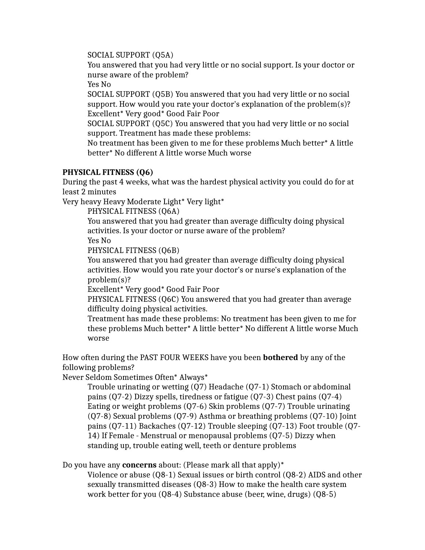## SOCIAL SUPPORT (Q5A)

You answered that you had very little or no social support. Is your doctor or nurse aware of the problem?

Yes No

SOCIAL SUPPORT (Q5B) You answered that you had very little or no social support. How would you rate your doctor's explanation of the problem(s)? Excellent\* Very good\* Good Fair Poor

SOCIAL SUPPORT (Q5C) You answered that you had very little or no social support. Treatment has made these problems:

No treatment has been given to me for these problems Much better\* A little better\* No different A little worse Much worse

# **PHYSICAL FITNESS (Q6)**

During the past 4 weeks, what was the hardest physical activity you could do for at least 2 minutes

Very heavy Heavy Moderate Light\* Very light\*

PHYSICAL FITNESS (Q6A)

You answered that you had greater than average difficulty doing physical activities. Is your doctor or nurse aware of the problem?

Yes No

PHYSICAL FITNESS (Q6B)

You answered that you had greater than average difficulty doing physical activities. How would you rate your doctor's or nurse's explanation of the problem(s)?

Excellent\* Very good\* Good Fair Poor

PHYSICAL FITNESS (Q6C) You answered that you had greater than average difficulty doing physical activities.

Treatment has made these problems: No treatment has been given to me for these problems Much better\* A little better\* No different A little worse Much worse

How often during the PAST FOUR WEEKS have you been **bothered** by any of the following problems?

Never Seldom Sometimes Often\* Always\*

Trouble urinating or wetting (Q7) Headache (Q7-1) Stomach or abdominal pains (Q7-2) Dizzy spells, tiredness or fatigue (Q7-3) Chest pains (Q7-4) Eating or weight problems (Q7-6) Skin problems (Q7-7) Trouble urinating (Q7-8) Sexual problems (Q7-9) Asthma or breathing problems (Q7-10) Joint pains (Q7-11) Backaches (Q7-12) Trouble sleeping (Q7-13) Foot trouble (Q7- 14) If Female - Menstrual or menopausal problems (Q7-5) Dizzy when standing up, trouble eating well, teeth or denture problems

Do you have any **concerns** about: (Please mark all that apply)\*

Violence or abuse (Q8-1) Sexual issues or birth control (Q8-2) AIDS and other sexually transmitted diseases (Q8-3) How to make the health care system work better for you (Q8-4) Substance abuse (beer, wine, drugs) (Q8-5)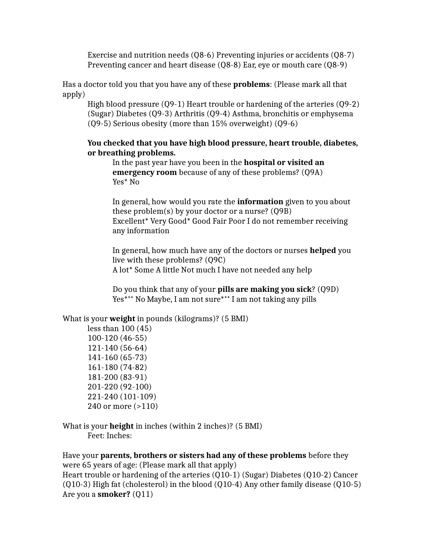Exercise and nutrition needs (Q8-6) Preventing injuries or accidents (Q8-7) Preventing cancer and heart disease (Q8-8) Ear, eye or mouth care (Q8-9)

Has a doctor told you that you have any of these **problems**: (Please mark all that apply)

High blood pressure (Q9-1) Heart trouble or hardening of the arteries (Q9-2) (Sugar) Diabetes (Q9-3) Arthritis (Q9-4) Asthma, bronchitis or emphysema (Q9-5) Serious obesity (more than 15% overweight) (Q9-6)

## **You checked that you have high blood pressure, heart trouble, diabetes, or breathing problems.**

In the past year have you been in the **hospital or visited an emergency room** because of any of these problems? (Q9A) Yes\* No

In general, how would you rate the **information** given to you about these problem(s) by your doctor or a nurse? (Q9B) Excellent\* Very Good\* Good Fair Poor I do not remember receiving any information

In general, how much have any of the doctors or nurses **helped** you live with these problems? (Q9C) A lot\* Some A little Not much I have not needed any help

Do you think that any of your **pills are making you sick**? (Q9D) Yes\***++** No Maybe, I am not sure\***++** I am not taking any pills

### What is your **weight** in pounds (kilograms)? (5 BMI)

less than 100 (45) 100-120 (46-55) 121-140 (56-64) 141-160 (65-73) 161-180 (74-82) 181-200 (83-91) 201-220 (92-100) 221-240 (101-109) 240 or more (>110)

What is your **height** in inches (within 2 inches)? (5 BMI) Feet: Inches:

Have your **parents, brothers or sisters had any of these problems** before they were 65 years of age: (Please mark all that apply) Heart trouble or hardening of the arteries (Q10-1) (Sugar) Diabetes (Q10-2) Cancer

(Q10-3) High fat (cholesterol) in the blood (Q10-4) Any other family disease (Q10-5) Are you a **smoker?** (Q11)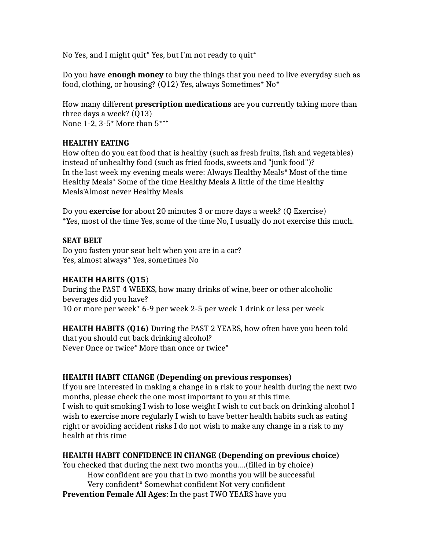No Yes, and I might quit\* Yes, but I'm not ready to quit\*

Do you have **enough money** to buy the things that you need to live everyday such as food, clothing, or housing? (Q12) Yes, always Sometimes\* No\*

How many different **prescription medications** are you currently taking more than three days a week? (Q13) None 1-2, 3-5\* More than 5\***++**

# **HEALTHY EATING**

How often do you eat food that is healthy (such as fresh fruits, fish and vegetables) instead of unhealthy food (such as fried foods, sweets and "junk food")? In the last week my evening meals were: Always Healthy Meals\* Most of the time Healthy Meals\* Some of the time Healthy Meals A little of the time Healthy Meals'Almost never Healthy Meals

Do you **exercise** for about 20 minutes 3 or more days a week? (Q Exercise) \*Yes, most of the time Yes, some of the time No, I usually do not exercise this much.

## **SEAT BELT**

Do you fasten your seat belt when you are in a car? Yes, almost always\* Yes, sometimes No

### **HEALTH HABITS (Q15**)

During the PAST 4 WEEKS, how many drinks of wine, beer or other alcoholic beverages did you have? 10 or more per week\* 6-9 per week 2-5 per week 1 drink or less per week

**HEALTH HABITS (Q16)** During the PAST 2 YEARS, how often have you been told that you should cut back drinking alcohol? Never Once or twice\* More than once or twice\*

### **HEALTH HABIT CHANGE (Depending on previous responses)**

If you are interested in making a change in a risk to your health during the next two months, please check the one most important to you at this time. I wish to quit smoking I wish to lose weight I wish to cut back on drinking alcohol I wish to exercise more regularly I wish to have better health habits such as eating right or avoiding accident risks I do not wish to make any change in a risk to my health at this time

# **HEALTH HABIT CONFIDENCE IN CHANGE (Depending on previous choice)**

You checked that during the next two months you….(filled in by choice) How confident are you that in two months you will be successful Very confident\* Somewhat confident Not very confident **Prevention Female All Ages**: In the past TWO YEARS have you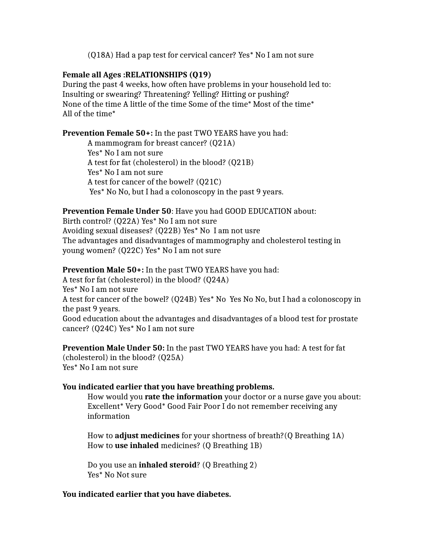(Q18A) Had a pap test for cervical cancer? Yes\* No I am not sure

## **Female all Ages :RELATIONSHIPS (Q19)**

During the past 4 weeks, how often have problems in your household led to: Insulting or swearing? Threatening? Yelling? Hitting or pushing? None of the time A little of the time Some of the time\* Most of the time\* All of the time\*

## **Prevention Female 50+:** In the past TWO YEARS have you had:

A mammogram for breast cancer? (Q21A) Yes\* No I am not sure A test for fat (cholesterol) in the blood? (Q21B) Yes\* No I am not sure A test for cancer of the bowel? (Q21C) Yes\* No No, but I had a colonoscopy in the past 9 years.

## **Prevention Female Under 50**: Have you had GOOD EDUCATION about:

Birth control? (Q22A) Yes\* No I am not sure Avoiding sexual diseases? (Q22B) Yes\* No I am not usre The advantages and disadvantages of mammography and cholesterol testing in young women? (Q22C) Yes\* No I am not sure

**Prevention Male 50+:** In the past TWO YEARS have you had:

A test for fat (cholesterol) in the blood? (Q24A)

Yes\* No I am not sure

A test for cancer of the bowel? (Q24B) Yes\* No Yes No No, but I had a colonoscopy in the past 9 years.

Good education about the advantages and disadvantages of a blood test for prostate cancer? (Q24C) Yes\* No I am not sure

**Prevention Male Under 50:** In the past TWO YEARS have you had: A test for fat (cholesterol) in the blood? (Q25A) Yes\* No I am not sure

# **You indicated earlier that you have breathing problems.**

How would you **rate the information** your doctor or a nurse gave you about: Excellent\* Very Good\* Good Fair Poor I do not remember receiving any information

How to **adjust medicines** for your shortness of breath?(Q Breathing 1A) How to **use inhaled** medicines? (Q Breathing 1B)

Do you use an **inhaled steroid**? (Q Breathing 2) Yes\* No Not sure

### **You indicated earlier that you have diabetes.**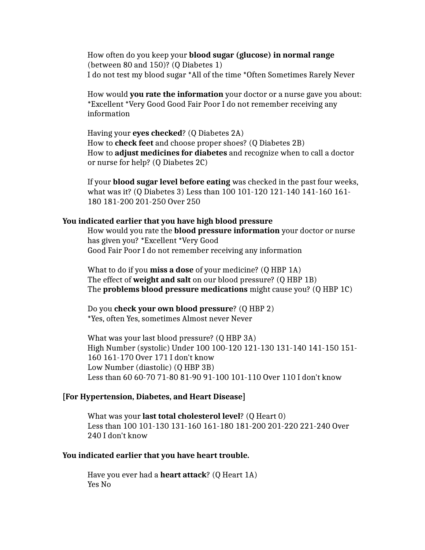How often do you keep your **blood sugar (glucose) in normal range** (between 80 and 150)? (Q Diabetes 1) I do not test my blood sugar \*All of the time \*Often Sometimes Rarely Never

How would **you rate the information** your doctor or a nurse gave you about: \*Excellent \*Very Good Good Fair Poor I do not remember receiving any information

Having your **eyes checked**? (Q Diabetes 2A) How to **check feet** and choose proper shoes? (Q Diabetes 2B) How to **adjust medicines for diabetes** and recognize when to call a doctor or nurse for help? (Q Diabetes 2C)

If your **blood sugar level before eating** was checked in the past four weeks, what was it? (Q Diabetes 3) Less than 100 101-120 121-140 141-160 161- 180 181-200 201-250 Over 250

#### **You indicated earlier that you have high blood pressure**

How would you rate the **blood pressure information** your doctor or nurse has given you? \*Excellent \*Very Good Good Fair Poor I do not remember receiving any information

What to do if you **miss a dose** of your medicine? (Q HBP 1A) The effect of **weight and salt** on our blood pressure? (Q HBP 1B) The **problems blood pressure medications** might cause you? (Q HBP 1C)

Do you **check your own blood pressure**? (Q HBP 2) \*Yes, often Yes, sometimes Almost never Never

What was your last blood pressure? (Q HBP 3A) High Number (systolic) Under 100 100-120 121-130 131-140 141-150 151- 160 161-170 Over 171 I don't know Low Number (diastolic) (Q HBP 3B) Less than 60 60-70 71-80 81-90 91-100 101-110 Over 110 I don't know

#### **[For Hypertension, Diabetes, and Heart Disease]**

What was your **last total cholesterol level**? (Q Heart 0) Less than 100 101-130 131-160 161-180 181-200 201-220 221-240 Over 240 I don't know

#### **You indicated earlier that you have heart trouble.**

Have you ever had a **heart attack**? (Q Heart 1A) Yes No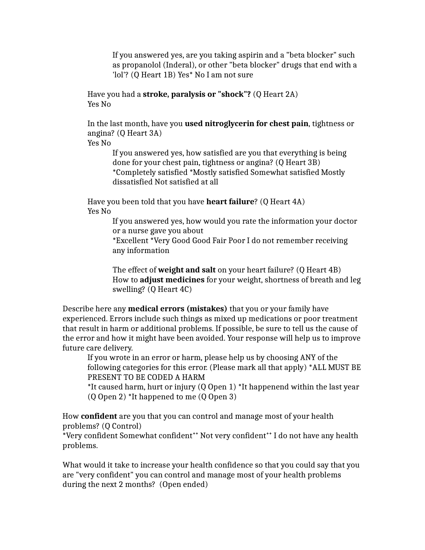If you answered yes, are you taking aspirin and a "beta blocker" such as propanolol (Inderal), or other "beta blocker" drugs that end with a 'lol'? (Q Heart 1B) Yes\* No I am not sure

Have you had a **stroke, paralysis or "shock"?** (Q Heart 2A) Yes No

In the last month, have you **used nitroglycerin for chest pain**, tightness or angina? (Q Heart 3A)

Yes No

If you answered yes, how satisfied are you that everything is being done for your chest pain, tightness or angina? (Q Heart 3B) \*Completely satisfied \*Mostly satisfied Somewhat satisfied Mostly dissatisfied Not satisfied at all

Have you been told that you have **heart failure**? (Q Heart 4A) Yes No

> If you answered yes, how would you rate the information your doctor or a nurse gave you about

\*Excellent \*Very Good Good Fair Poor I do not remember receiving any information

The effect of **weight and salt** on your heart failure? (Q Heart 4B) How to **adjust medicines** for your weight, shortness of breath and leg swelling? (Q Heart 4C)

Describe here any **medical errors (mistakes)** that you or your family have experienced. Errors include such things as mixed up medications or poor treatment that result in harm or additional problems. If possible, be sure to tell us the cause of the error and how it might have been avoided. Your response will help us to improve future care delivery.

If you wrote in an error or harm, please help us by choosing ANY of the following categories for this error. (Please mark all that apply) \*ALL MUST BE PRESENT TO BE CODED A HARM

\*It caused harm, hurt or injury (Q Open 1) \*It happenend within the last year (Q Open 2) \*It happened to me (Q Open 3)

How **confident** are you that you can control and manage most of your health problems? (Q Control)

\*Very confident Somewhat confident**++** Not very confident**++** I do not have any health problems.

What would it take to increase your health confidence so that you could say that you are "very confident" you can control and manage most of your health problems during the next 2 months? (Open ended)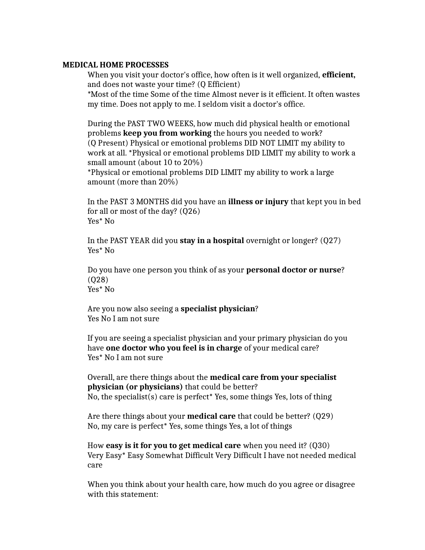#### **MEDICAL HOME PROCESSES**

When you visit your doctor's office, how often is it well organized, **efficient,** and does not waste your time? (Q Efficient)

\*Most of the time Some of the time Almost never is it efficient. It often wastes my time. Does not apply to me. I seldom visit a doctor's office.

During the PAST TWO WEEKS, how much did physical health or emotional problems **keep you from working** the hours you needed to work? (Q Present) Physical or emotional problems DID NOT LIMIT my ability to work at all. \*Physical or emotional problems DID LIMIT my ability to work a small amount (about 10 to 20%)

\*Physical or emotional problems DID LIMIT my ability to work a large amount (more than 20%)

In the PAST 3 MONTHS did you have an **illness or injury** that kept you in bed for all or most of the day? (Q26) Yes\* No

In the PAST YEAR did you **stay in a hospital** overnight or longer? (Q27) Yes\* No

Do you have one person you think of as your **personal doctor or nurse**? (Q28) Yes\* No

Are you now also seeing a **specialist physician**? Yes No I am not sure

If you are seeing a specialist physician and your primary physician do you have **one doctor who you feel is in charge** of your medical care? Yes\* No I am not sure

Overall, are there things about the **medical care from your specialist physician (or physicians)** that could be better? No, the specialist(s) care is perfect\* Yes, some things Yes, lots of thing

Are there things about your **medical care** that could be better? (Q29) No, my care is perfect\* Yes, some things Yes, a lot of things

How **easy is it for you to get medical care** when you need it? (Q30) Very Easy\* Easy Somewhat Difficult Very Difficult I have not needed medical care

When you think about your health care, how much do you agree or disagree with this statement: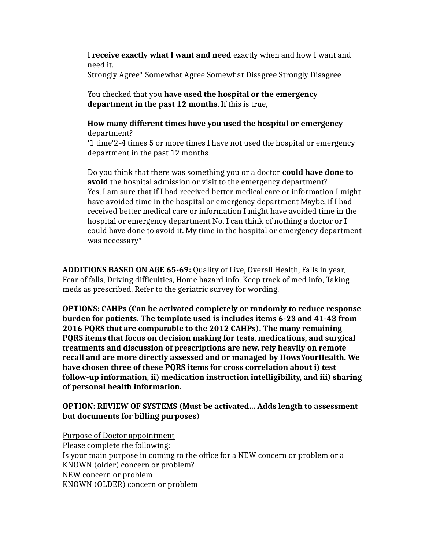I **receive exactly what I want and need** exactly when and how I want and need it.

Strongly Agree\* Somewhat Agree Somewhat Disagree Strongly Disagree

You checked that you **have used the hospital or the emergency department in the past 12 months**. If this is true,

**How many different times have you used the hospital or emergency** department?

'1 time'2-4 times 5 or more times I have not used the hospital or emergency department in the past 12 months

Do you think that there was something you or a doctor **could have done to avoid** the hospital admission or visit to the emergency department? Yes, I am sure that if I had received better medical care or information I might have avoided time in the hospital or emergency department Maybe, if I had received better medical care or information I might have avoided time in the hospital or emergency department No, I can think of nothing a doctor or I could have done to avoid it. My time in the hospital or emergency department was necessary\*

**ADDITIONS BASED ON AGE 65-69:** Quality of Live, Overall Health, Falls in year, Fear of falls, Driving difficulties, Home hazard info, Keep track of med info, Taking meds as prescribed. Refer to the geriatric survey for wording.

**OPTIONS: CAHPs (Can be activated completely or randomly to reduce response burden for patients. The template used is includes items 6-23 and 41-43 from 2016 PQRS that are comparable to the 2012 CAHPs). The many remaining PQRS items that focus on decision making for tests, medications, and surgical treatments and discussion of prescriptions are new, rely heavily on remote recall and are more directly assessed and or managed by HowsYourHealth. We have chosen three of these PQRS items for cross correlation about i) test follow-up information, ii) medication instruction intelligibility, and iii) sharing of personal health information.**

## **OPTION: REVIEW OF SYSTEMS (Must be activated… Adds length to assessment but documents for billing purposes)**

Purpose of Doctor appointment Please complete the following: Is your main purpose in coming to the office for a NEW concern or problem or a KNOWN (older) concern or problem? NEW concern or problem KNOWN (OLDER) concern or problem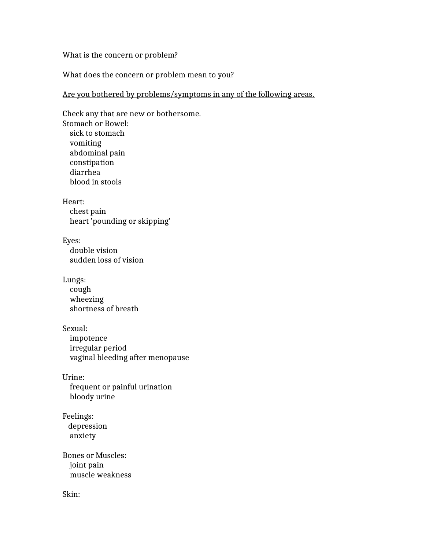#### What is the concern or problem?

What does the concern or problem mean to you?

## Are you bothered by problems/symptoms in any of the following areas.

Check any that are new or bothersome. Stomach or Bowel: sick to stomach vomiting abdominal pain constipation diarrhea blood in stools Heart: chest pain heart 'pounding or skipping' Eyes: double vision sudden loss of vision Lungs: cough wheezing shortness of breath Sexual: impotence irregular period vaginal bleeding after menopause Urine: frequent or painful urination bloody urine Feelings: depression anxiety Bones or Muscles: joint pain muscle weakness

Skin: